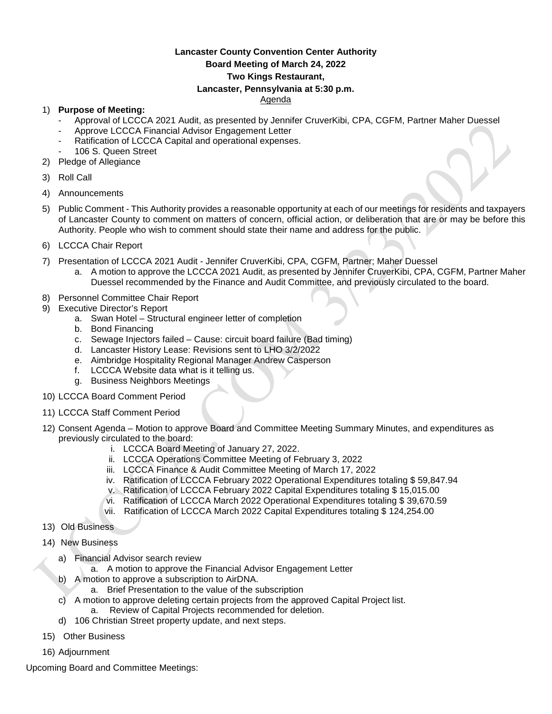## **Lancaster County Convention Center Authority Board Meeting of March 24, 2022 Two Kings Restaurant, Lancaster, Pennsylvania at 5:30 p.m.**

## Agenda

## 1) **Purpose of Meeting:**

- Approval of LCCCA 2021 Audit, as presented by Jennifer CruverKibi, CPA, CGFM, Partner Maher Duessel
- Approve LCCCA Financial Advisor Engagement Letter
- Ratification of LCCCA Capital and operational expenses.
- 106 S. Queen Street
- 2) Pledge of Allegiance
- 3) Roll Call
- 4) Announcements
- 5) Public Comment This Authority provides a reasonable opportunity at each of our meetings for residents and taxpayers of Lancaster County to comment on matters of concern, official action, or deliberation that are or may be before this Authority. People who wish to comment should state their name and address for the public.
- 6) LCCCA Chair Report
- 7) Presentation of LCCCA 2021 Audit Jennifer CruverKibi, CPA, CGFM, Partner; Maher Duessel
	- a. A motion to approve the LCCCA 2021 Audit, as presented by Jennifer CruverKibi, CPA, CGFM, Partner Maher Duessel recommended by the Finance and Audit Committee, and previously circulated to the board.
- 8) Personnel Committee Chair Report
- 9) Executive Director's Report
	- a. Swan Hotel Structural engineer letter of completion
	- b. Bond Financing
	- c. Sewage Injectors failed Cause: circuit board failure (Bad timing)
	- d. Lancaster History Lease: Revisions sent to LHO 3/2/2022
	- e. Aimbridge Hospitality Regional Manager Andrew Casperson
	- f. LCCCA Website data what is it telling us.
	- g. Business Neighbors Meetings
- 10) LCCCA Board Comment Period
- 11) LCCCA Staff Comment Period
- 12) Consent Agenda Motion to approve Board and Committee Meeting Summary Minutes, and expenditures as previously circulated to the board:
	- i. LCCCA Board Meeting of January 27, 2022.
	- ii. LCCCA Operations Committee Meeting of February 3, 2022
	- iii. LCCCA Finance & Audit Committee Meeting of March 17, 2022
	- iv. Ratification of LCCCA February 2022 Operational Expenditures totaling \$ 59,847.94
	- v. Ratification of LCCCA February 2022 Capital Expenditures totaling \$ 15,015.00
	- vi. Ratification of LCCCA March 2022 Operational Expenditures totaling \$ 39,670.59
	- vii. Ratification of LCCCA March 2022 Capital Expenditures totaling \$ 124,254.00
- 13) Old Business
- 14) New Business
	- a) Financial Advisor search review
		- a. A motion to approve the Financial Advisor Engagement Letter
	- b) A motion to approve a subscription to AirDNA.
		- a. Brief Presentation to the value of the subscription
	- c) A motion to approve deleting certain projects from the approved Capital Project list. a. Review of Capital Projects recommended for deletion.
	- d) 106 Christian Street property update, and next steps.
- 15) Other Business
- 16) Adjournment

Upcoming Board and Committee Meetings: